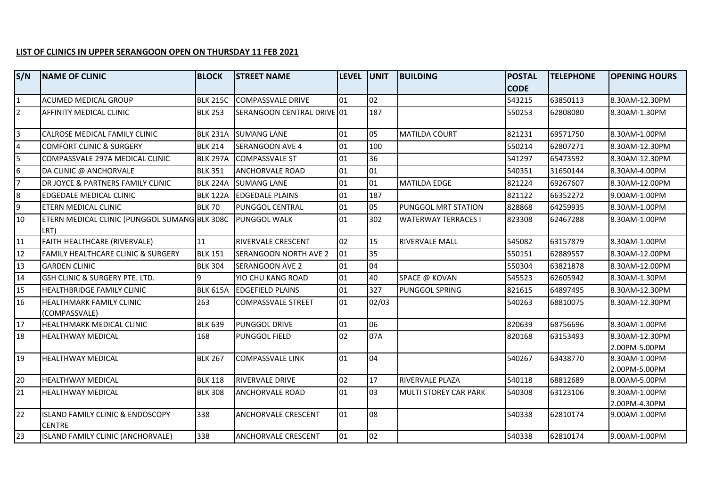## **LIST OF CLINICS IN UPPER SERANGOON OPEN ON THURSDAY 11 FEB 2021**

| S/N            | <b>NAME OF CLINIC</b>                                 | <b>BLOCK</b>    | <b>STREET NAME</b>           | <b>ILEVEL</b> | <b>UNIT</b> | <b>BUILDING</b>              | <b>POSTAL</b> | <b>TELEPHONE</b> | <b>OPENING HOURS</b>            |
|----------------|-------------------------------------------------------|-----------------|------------------------------|---------------|-------------|------------------------------|---------------|------------------|---------------------------------|
|                |                                                       |                 |                              |               |             |                              | <b>CODE</b>   |                  |                                 |
|                | <b>ACUMED MEDICAL GROUP</b>                           | <b>BLK 215C</b> | <b>COMPASSVALE DRIVE</b>     | 01            | 02          |                              | 543215        | 63850113         | 8.30AM-12.30PM                  |
| $\overline{2}$ | AFFINITY MEDICAL CLINIC                               | <b>BLK 253</b>  | SERANGOON CENTRAL DRIVE 01   |               | 187         |                              | 550253        | 62808080         | 8.30AM-1.30PM                   |
|                | CALROSE MEDICAL FAMILY CLINIC                         | <b>BLK 231A</b> | <b>SUMANG LANE</b>           | 01            | 05          | <b>MATILDA COURT</b>         | 821231        | 69571750         | 8.30AM-1.00PM                   |
|                | <b>COMFORT CLINIC &amp; SURGERY</b>                   | <b>BLK 214</b>  | <b>SERANGOON AVE 4</b>       | 01            | 100         |                              | 550214        | 62807271         | 8.30AM-12.30PM                  |
| 5              | COMPASSVALE 297A MEDICAL CLINIC                       | <b>BLK 297A</b> | <b>COMPASSVALE ST</b>        | 01            | 36          |                              | 541297        | 65473592         | 8.30AM-12.30PM                  |
| 6              | DA CLINIC @ ANCHORVALE                                | <b>BLK 351</b>  | <b>ANCHORVALE ROAD</b>       | 01            | 01          |                              | 540351        | 31650144         | 8.30AM-4.00PM                   |
|                | DR JOYCE & PARTNERS FAMILY CLINIC                     | <b>BLK 224A</b> | <b>SUMANG LANE</b>           | 01            | 01          | <b>MATILDA EDGE</b>          | 821224        | 69267607         | 8.30AM-12.00PM                  |
| 8              | <b>EDGEDALE MEDICAL CLINIC</b>                        | <b>BLK 122A</b> | <b>EDGEDALE PLAINS</b>       | 01            | 187         |                              | 821122        | 66352272         | 9.00AM-1.00PM                   |
| 9              | ETERN MEDICAL CLINIC                                  | <b>BLK 70</b>   | PUNGGOL CENTRAL              | 01            | 05          | PUNGGOL MRT STATION          | 828868        | 64259935         | 8.30AM-1.00PM                   |
| 10             | ETERN MEDICAL CLINIC (PUNGGOL SUMANG BLK 308C<br>LRT) |                 | <b>PUNGGOL WALK</b>          | 01            | 302         | <b>WATERWAY TERRACES I</b>   | 823308        | 62467288         | 8.30AM-1.00PM                   |
| 11             | FAITH HEALTHCARE (RIVERVALE)                          | 11              | RIVERVALE CRESCENT           | 02            | 15          | RIVERVALE MALL               | 545082        | 63157879         | 8.30AM-1.00PM                   |
| 12             | <b>FAMILY HEALTHCARE CLINIC &amp; SURGERY</b>         | <b>BLK 151</b>  | <b>SERANGOON NORTH AVE 2</b> | 01            | 35          |                              | 550151        | 62889557         | 8.30AM-12.00PM                  |
| 13             | <b>GARDEN CLINIC</b>                                  | <b>BLK 304</b>  | SERANGOON AVE 2              | 01            | 04          |                              | 550304        | 63821878         | 8.30AM-12.00PM                  |
| 14             | GSH CLINIC & SURGERY PTE. LTD.                        | 9               | YIO CHU KANG ROAD            | 01            | 40          | SPACE @ KOVAN                | 545523        | 62605942         | 8.30AM-1.30PM                   |
| 15             | <b>HEALTHBRIDGE FAMILY CLINIC</b>                     | <b>BLK 615A</b> | <b>EDGEFIELD PLAINS</b>      | 01            | 327         | PUNGGOL SPRING               | 821615        | 64897495         | 8.30AM-12.30PM                  |
| 16             | HEALTHMARK FAMILY CLINIC<br>(COMPASSVALE)             | 263             | <b>COMPASSVALE STREET</b>    | 01            | 02/03       |                              | 540263        | 68810075         | 8.30AM-12.30PM                  |
| 17             | HEALTHMARK MEDICAL CLINIC                             | <b>BLK 639</b>  | PUNGGOL DRIVE                | 01            | 06          |                              | 820639        | 68756696         | 8.30AM-1.00PM                   |
| 18             | <b>HEALTHWAY MEDICAL</b>                              | 168             | PUNGGOL FIELD                | 02            | 07A         |                              | 820168        | 63153493         | 8.30AM-12.30PM<br>2.00PM-5.00PM |
| 19             | <b>HEALTHWAY MEDICAL</b>                              | <b>BLK 267</b>  | <b>COMPASSVALE LINK</b>      | 01            | 04          |                              | 540267        | 63438770         | 8.30AM-1.00PM<br>2.00PM-5.00PM  |
| 20             | <b>HEALTHWAY MEDICAL</b>                              | <b>BLK 118</b>  | RIVERVALE DRIVE              | 02            | 17          | RIVERVALE PLAZA              | 540118        | 68812689         | 8.00AM-5.00PM                   |
| 21             | <b>HEALTHWAY MEDICAL</b>                              | <b>BLK 308</b>  | ANCHORVALE ROAD              | 01            | 03          | <b>MULTI STOREY CAR PARK</b> | 540308        | 63123106         | 8.30AM-1.00PM<br>2.00PM-4.30PM  |
| 22             | ISLAND FAMILY CLINIC & ENDOSCOPY<br><b>CENTRE</b>     | 338             | ANCHORVALE CRESCENT          | 01            | 08          |                              | 540338        | 62810174         | 9.00AM-1.00PM                   |
| 23             | ISLAND FAMILY CLINIC (ANCHORVALE)                     | 338             | ANCHORVALE CRESCENT          | 01            | 02          |                              | 540338        | 62810174         | 9.00AM-1.00PM                   |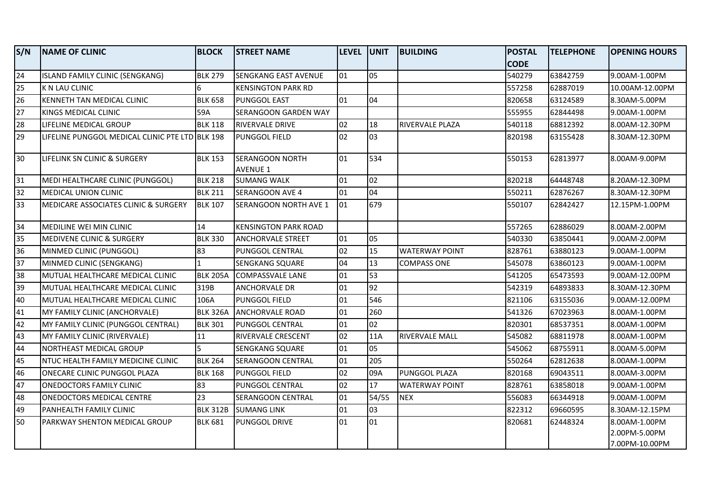| S/N             | <b>NAME OF CLINIC</b>                           | <b>BLOCK</b>    | <b>STREET NAME</b>                        | LEVEL UNIT |                 | <b>BUILDING</b>        | <b>POSTAL</b> | <b>TELEPHONE</b> | <b>OPENING HOURS</b> |
|-----------------|-------------------------------------------------|-----------------|-------------------------------------------|------------|-----------------|------------------------|---------------|------------------|----------------------|
|                 |                                                 |                 |                                           |            |                 |                        | <b>CODE</b>   |                  |                      |
| 24              | ISLAND FAMILY CLINIC (SENGKANG)                 | <b>BLK 279</b>  | <b>SENGKANG EAST AVENUE</b>               | 01         | 05              |                        | 540279        | 63842759         | 9.00AM-1.00PM        |
| 25              | K N LAU CLINIC                                  | 6               | <b>KENSINGTON PARK RD</b>                 |            |                 |                        | 557258        | 62887019         | 10.00AM-12.00PM      |
| 26              | KENNETH TAN MEDICAL CLINIC                      | <b>BLK 658</b>  | PUNGGOL EAST                              | 01         | 04              |                        | 820658        | 63124589         | 8.30AM-5.00PM        |
| 27              | KINGS MEDICAL CLINIC                            | 59A             | SERANGOON GARDEN WAY                      |            |                 |                        | 555955        | 62844498         | 9.00AM-1.00PM        |
| 28              | LIFELINE MEDICAL GROUP                          | <b>BLK 118</b>  | RIVERVALE DRIVE                           | 02         | 18              | <b>RIVERVALE PLAZA</b> | 540118        | 68812392         | 8.00AM-12.30PM       |
| 29              | LIFELINE PUNGGOL MEDICAL CLINIC PTE LTD BLK 198 |                 | PUNGGOL FIELD                             | 02         | 60 <sup>3</sup> |                        | 820198        | 63155428         | 8.30AM-12.30PM       |
| $\overline{30}$ | LIFELINK SN CLINIC & SURGERY                    | <b>BLK 153</b>  | <b>SERANGOON NORTH</b><br><b>AVENUE 1</b> | 01         | 534             |                        | 550153        | 62813977         | 8.00AM-9.00PM        |
| 31              | MEDI HEALTHCARE CLINIC (PUNGGOL)                | <b>BLK 218</b>  | <b>SUMANG WALK</b>                        | 01         | 02              |                        | 820218        | 64448748         | 8.20AM-12.30PM       |
| 32              | MEDICAL UNION CLINIC                            | <b>BLK 211</b>  | SERANGOON AVE 4                           | 01         | 04              |                        | 550211        | 62876267         | 8.30AM-12.30PM       |
| 33              | MEDICARE ASSOCIATES CLINIC & SURGERY            | <b>BLK 107</b>  | SERANGOON NORTH AVE 1                     | 101        | 679             |                        | 550107        | 62842427         | 12.15PM-1.00PM       |
| $\overline{5}$  | MEDILINE WEI MIN CLINIC                         | 14              | <b>KENSINGTON PARK ROAD</b>               |            |                 |                        | 557265        | 62886029         | 8.00AM-2.00PM        |
| 35              | <b>MEDIVENE CLINIC &amp; SURGERY</b>            | <b>BLK 330</b>  | <b>ANCHORVALE STREET</b>                  | 01         | 05              |                        | 540330        | 63850441         | 9.00AM-2.00PM        |
| 36              | MINMED CLINIC (PUNGGOL)                         | 83              | PUNGGOL CENTRAL                           | 02         | 15              | <b>WATERWAY POINT</b>  | 828761        | 63880123         | 9.00AM-1.00PM        |
| 37              | MINMED CLINIC (SENGKANG)                        | $\mathbf{1}$    | SENGKANG SQUARE                           | 04         | 13              | <b>COMPASS ONE</b>     | 545078        | 63860123         | 9.00AM-1.00PM        |
| 38              | MUTUAL HEALTHCARE MEDICAL CLINIC                | <b>BLK 205A</b> | COMPASSVALE LANE                          | 01         | 53              |                        | 541205        | 65473593         | 9.00AM-12.00PM       |
| 39              | MUTUAL HEALTHCARE MEDICAL CLINIC                | 319B            | ANCHORVALE DR                             | 01         | 92              |                        | 542319        | 64893833         | 8.30AM-12.30PM       |
| 40              | MUTUAL HEALTHCARE MEDICAL CLINIC                | 106A            | PUNGGOL FIELD                             | 01         | 546             |                        | 821106        | 63155036         | 9.00AM-12.00PM       |
| 41              | MY FAMILY CLINIC (ANCHORVALE)                   | <b>BLK 326A</b> | <b>ANCHORVALE ROAD</b>                    | 01         | 260             |                        | 541326        | 67023963         | 8.00AM-1.00PM        |
| 42              | MY FAMILY CLINIC (PUNGGOL CENTRAL)              | <b>BLK 301</b>  | PUNGGOL CENTRAL                           | 01         | 02              |                        | 820301        | 68537351         | 8.00AM-1.00PM        |
| 43              | MY FAMILY CLINIC (RIVERVALE)                    | 11              | RIVERVALE CRESCENT                        | 02         | 11A             | <b>RIVERVALE MALL</b>  | 545082        | 68811978         | 8.00AM-1.00PM        |
| 44              | NORTHEAST MEDICAL GROUP                         | 5               | SENGKANG SQUARE                           | 01         | 05              |                        | 545062        | 68755911         | 8.00AM-5.00PM        |
| 45              | NTUC HEALTH FAMILY MEDICINE CLINIC              | <b>BLK 264</b>  | SERANGOON CENTRAL                         | 01         | 205             |                        | 550264        | 62812638         | 8.00AM-1.00PM        |
| 46              | ONECARE CLINIC PUNGGOL PLAZA                    | <b>BLK 168</b>  | PUNGGOL FIELD                             | 02         | 09A             | PUNGGOL PLAZA          | 820168        | 69043511         | 8.00AM-3.00PM        |
| 47              | <b>ONEDOCTORS FAMILY CLINIC</b>                 | 83              | PUNGGOL CENTRAL                           | 02         | 17              | <b>WATERWAY POINT</b>  | 828761        | 63858018         | 9.00AM-1.00PM        |
| 48              | <b>ONEDOCTORS MEDICAL CENTRE</b>                | 23              | SERANGOON CENTRAL                         | 01         | 54/55           | <b>NEX</b>             | 556083        | 66344918         | 9.00AM-1.00PM        |
| 49              | PANHEALTH FAMILY CLINIC                         | <b>BLK 312B</b> | <b>SUMANG LINK</b>                        | 01         | 03              |                        | 822312        | 69660595         | 8.30AM-12.15PM       |
| 50              | IPARKWAY SHENTON MEDICAL GROUP                  | <b>BLK 681</b>  | PUNGGOL DRIVE                             | 01         | 01              |                        | 820681        | 62448324         | 8.00AM-1.00PM        |
|                 |                                                 |                 |                                           |            |                 |                        |               |                  | 2.00PM-5.00PM        |
|                 |                                                 |                 |                                           |            |                 |                        |               |                  | 7.00PM-10.00PM       |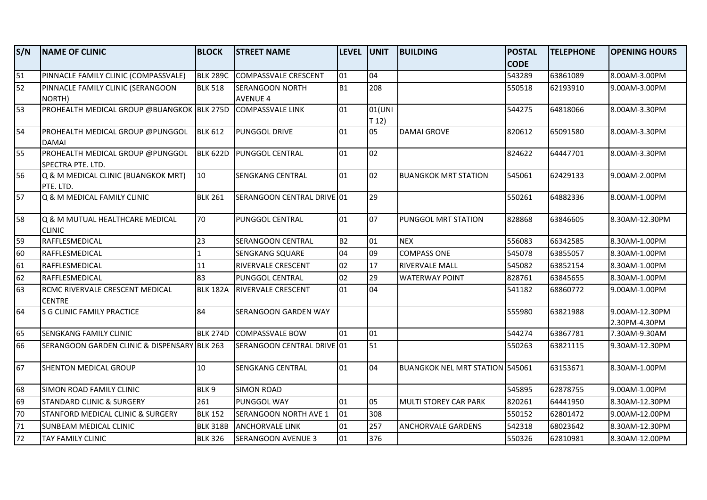| S/N             | <b>NAME OF CLINIC</b>                                 | <b>BLOCK</b>     | <b>STREET NAME</b>          | LEVEL UNIT      |                 | <b>BUILDING</b>                        | <b>POSTAL</b> | <b>TELEPHONE</b> | <b>OPENING HOURS</b>           |
|-----------------|-------------------------------------------------------|------------------|-----------------------------|-----------------|-----------------|----------------------------------------|---------------|------------------|--------------------------------|
|                 |                                                       |                  |                             |                 |                 |                                        | <b>CODE</b>   |                  |                                |
| 51              | PINNACLE FAMILY CLINIC (COMPASSVALE)                  | <b>BLK 289C</b>  | <b>COMPASSVALE CRESCENT</b> | 01              | 04              |                                        | 543289        | 63861089         | 8.00AM-3.00PM                  |
| 52              | PINNACLE FAMILY CLINIC (SERANGOON                     | <b>BLK 518</b>   | <b>SERANGOON NORTH</b>      | <b>B1</b>       | 208             |                                        | 550518        | 62193910         | 9.00AM-3.00PM                  |
|                 | NORTH)                                                |                  | <b>AVENUE 4</b>             |                 |                 |                                        |               |                  |                                |
| $\overline{53}$ | PROHEALTH MEDICAL GROUP @BUANGKOK BLK 275D            |                  | <b>COMPASSVALE LINK</b>     | 01              | 01(UNI<br>T 12) |                                        | 544275        | 64818066         | 8.00AM-3.30PM                  |
| 54              | PROHEALTH MEDICAL GROUP @PUNGGOL<br><b>DAMAI</b>      | <b>BLK 612</b>   | PUNGGOL DRIVE               | 01              | 05              | <b>DAMAI GROVE</b>                     | 820612        | 65091580         | 8.00AM-3.30PM                  |
| 55              | PROHEALTH MEDICAL GROUP @PUNGGOL<br>SPECTRA PTE. LTD. | <b>BLK 622D</b>  | PUNGGOL CENTRAL             | 01              | 02              |                                        | 824622        | 64447701         | 8.00AM-3.30PM                  |
| 56              | Q & M MEDICAL CLINIC (BUANGKOK MRT)<br>PTE. LTD.      | 10 <sup>10</sup> | SENGKANG CENTRAL            | 101             | 02              | <b>BUANGKOK MRT STATION</b>            | 545061        | 62429133         | 9.00AM-2.00PM                  |
| 57              | Q & M MEDICAL FAMILY CLINIC                           | <b>BLK 261</b>   | SERANGOON CENTRAL DRIVE 01  |                 | 29              |                                        | 550261        | 64882336         | 8.00AM-1.00PM                  |
| 58              | Q & M MUTUAL HEALTHCARE MEDICAL<br><b>CLINIC</b>      | 70               | PUNGGOL CENTRAL             | 01              | $ 07\rangle$    | PUNGGOL MRT STATION                    | 828868        | 63846605         | 8.30AM-12.30PM                 |
| 59              | RAFFLESMEDICAL                                        | 23               | SERANGOON CENTRAL           | B2              | 01              | <b>NEX</b>                             | 556083        | 66342585         | 8.30AM-1.00PM                  |
| 60              | RAFFLESMEDICAL                                        | $\mathbf{1}$     | <b>SENGKANG SQUARE</b>      | 04              | 09              | <b>COMPASS ONE</b>                     | 545078        | 63855057         | 8.30AM-1.00PM                  |
| 61              | RAFFLESMEDICAL                                        | 11               | RIVERVALE CRESCENT          | 02              | 17              | <b>RIVERVALE MALL</b>                  | 545082        | 63852154         | 8.30AM-1.00PM                  |
| 62              | RAFFLESMEDICAL                                        | 83               | PUNGGOL CENTRAL             | 02              | 29              | <b>WATERWAY POINT</b>                  | 828761        | 63845655         | 8.30AM-1.00PM                  |
| 63              | RCMC RIVERVALE CRESCENT MEDICAL<br><b>CENTRE</b>      | <b>BLK 182A</b>  | <b>RIVERVALE CRESCENT</b>   | 01              | 04              |                                        | 541182        | 68860772         | 9.00AM-1.00PM                  |
| 64              | <b>S G CLINIC FAMILY PRACTICE</b>                     | 84               | SERANGOON GARDEN WAY        |                 |                 |                                        | 555980        | 63821988         | 9.00AM-12.30PM                 |
| 65              | SENGKANG FAMILY CLINIC                                | <b>BLK 274D</b>  | <b>COMPASSVALE BOW</b>      | lo1             | 01              |                                        | 544274        | 63867781         | 2.30PM-4.30PM<br>7.30AM-9.30AM |
| 66              | SERANGOON GARDEN CLINIC & DISPENSARY BLK 263          |                  | SERANGOON CENTRAL DRIVE 01  |                 | 51              |                                        | 550263        |                  |                                |
|                 |                                                       |                  |                             |                 |                 |                                        |               | 63821115         | 9.30AM-12.30PM                 |
| 67              | SHENTON MEDICAL GROUP                                 | 10               | SENGKANG CENTRAL            | 01              | 04              | <b>BUANGKOK NEL MRT STATION 545061</b> |               | 63153671         | 8.30AM-1.00PM                  |
| 68              | SIMON ROAD FAMILY CLINIC                              | BLK <sub>9</sub> | <b>SIMON ROAD</b>           |                 |                 |                                        | 545895        | 62878755         | 9.00AM-1.00PM                  |
| 69              | <b>STANDARD CLINIC &amp; SURGERY</b>                  | 261              | PUNGGOL WAY                 | 01              | 05              | <b>MULTI STOREY CAR PARK</b>           | 820261        | 64441950         | 8.30AM-12.30PM                 |
| 70              | STANFORD MEDICAL CLINIC & SURGERY                     | <b>BLK 152</b>   | SERANGOON NORTH AVE 1       | 01              | 308             |                                        | 550152        | 62801472         | 9.00AM-12.00PM                 |
| 71              | SUNBEAM MEDICAL CLINIC                                | <b>BLK 318B</b>  | <b>ANCHORVALE LINK</b>      | 101             | 257             | <b>ANCHORVALE GARDENS</b>              | 542318        | 68023642         | 8.30AM-12.30PM                 |
| 72              | <b>TAY FAMILY CLINIC</b>                              | <b>BLK 326</b>   | <b>SERANGOON AVENUE 3</b>   | $\overline{01}$ | 376             |                                        | 550326        | 62810981         | 8.30AM-12.00PM                 |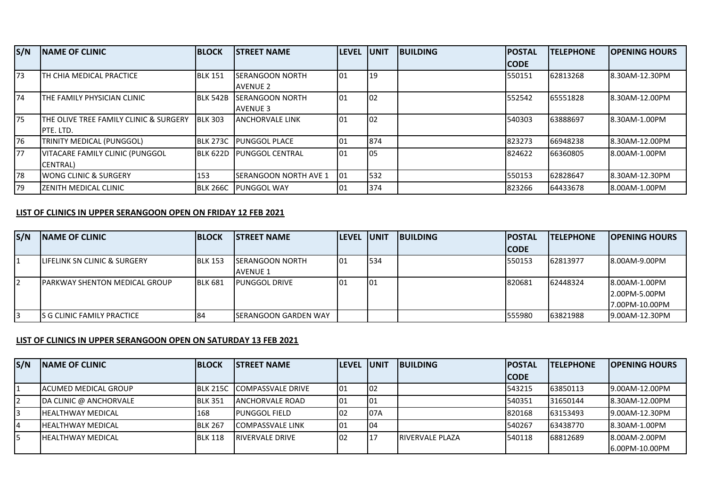| S/N | <b>INAME OF CLINIC</b>                 | <b>BLOCK</b>    | <b>ISTREET NAME</b>           | <b>ILEVEL</b> | <b>UNIT</b> | <b>IBUILDING</b> | <b>POSTAL</b> | <b>TELEPHONE</b> | <b>OPENING HOURS</b> |
|-----|----------------------------------------|-----------------|-------------------------------|---------------|-------------|------------------|---------------|------------------|----------------------|
|     |                                        |                 |                               |               |             |                  | <b>CODE</b>   |                  |                      |
| 73  | TH CHIA MEDICAL PRACTICE               | <b>BLK 151</b>  | <b>ISERANGOON NORTH</b>       | 101           | 19          |                  | 550151        | 62813268         | 8.30AM-12.30PM       |
|     |                                        |                 | <b>AVENUE 2</b>               |               |             |                  |               |                  |                      |
| 74  | THE FAMILY PHYSICIAN CLINIC            | <b>BLK 542B</b> | <b>ISERANGOON NORTH</b>       | 101           | 102         |                  | 552542        | 65551828         | 8.30AM-12.00PM       |
|     |                                        |                 | <b>AVENUE 3</b>               |               |             |                  |               |                  |                      |
| 75  | THE OLIVE TREE FAMILY CLINIC & SURGERY | <b>BLK 303</b>  | <b>JANCHORVALE LINK</b>       | l01           | 102         |                  | 540303        | 63888697         | 8.30AM-1.00PM        |
|     | IPTE. LTD.                             |                 |                               |               |             |                  |               |                  |                      |
| 76  | TRINITY MEDICAL (PUNGGOL)              | <b>BLK 273C</b> | <b>IPUNGGOL PLACE</b>         | 101           | 874         |                  | 823273        | 66948238         | 8.30AM-12.00PM       |
| 77  | VITACARE FAMILY CLINIC (PUNGGOL        | <b>BLK 622D</b> | <b>PUNGGOL CENTRAL</b>        | 101           | los         |                  | 824622        | 66360805         | 8.00AM-1.00PM        |
|     | <b>ICENTRALI</b>                       |                 |                               |               |             |                  |               |                  |                      |
| 78  | <b>IWONG CLINIC &amp; SURGERY</b>      | 153             | <b>ISERANGOON NORTH AVE 1</b> | 101           | 532         |                  | 550153        | 62828647         | 8.30AM-12.30PM       |
| 79  | <b>IZENITH MEDICAL CLINIC</b>          | <b>BLK 266C</b> | <b>PUNGGOL WAY</b>            | 101           | 374         |                  | 823266        | 64433678         | 8.00AM-1.00PM        |

## **LIST OF CLINICS IN UPPER SERANGOON OPEN ON FRIDAY 12 FEB 2021**

| S/N | <b>INAME OF CLINIC</b>                   | <b>BLOCK</b>   | <b>ISTREET NAME</b>    | <b>ILEVEL UNIT</b> |      | <b>BUILDING</b> | <b>IPOSTAL</b> | <b>ITELEPHONE</b> | <b>IOPENING HOURS</b> |
|-----|------------------------------------------|----------------|------------------------|--------------------|------|-----------------|----------------|-------------------|-----------------------|
|     |                                          |                |                        |                    |      |                 | <b>ICODE</b>   |                   |                       |
|     | <b>ILIFELINK SN CLINIC &amp; SURGERY</b> | <b>BLK 153</b> | <b>SERANGOON NORTH</b> | l01                | 1534 |                 | 550153         | 62813977          | 8.00AM-9.00PM         |
|     |                                          |                | AVENUE 1               |                    |      |                 |                |                   |                       |
|     | <b>IPARKWAY SHENTON MEDICAL GROUP</b>    | <b>BLK 681</b> | <b>IPUNGGOL DRIVE</b>  | 01                 | 101  |                 | 820681         | 62448324          | 8.00AM-1.00PM         |
|     |                                          |                |                        |                    |      |                 |                |                   | 2.00PM-5.00PM         |
|     |                                          |                |                        |                    |      |                 |                |                   | 7.00PM-10.00PM        |
|     | IS G CLINIC FAMILY PRACTICE              | 184            | SERANGOON GARDEN WAY   |                    |      |                 | 555980         | 63821988          | 9.00AM-12.30PM        |

## **LIST OF CLINICS IN UPPER SERANGOON OPEN ON SATURDAY 13 FEB 2021**

| S/N | <b>INAME OF CLINIC</b>       | <b>BLOCK</b>   | ISTREET NAME             | <b>ILEVEL IUNIT</b> |     | <b>IBUILDING</b>        | <b>POSTAL</b> | <b>ITELEPHONE</b> | <b>IOPENING HOURS</b> |
|-----|------------------------------|----------------|--------------------------|---------------------|-----|-------------------------|---------------|-------------------|-----------------------|
|     |                              |                |                          |                     |     |                         | <b>CODE</b>   |                   |                       |
| 11  | <b>IACUMED MEDICAL GROUP</b> | IBLK 215C      | <b>COMPASSVALE DRIVE</b> | 101                 | 102 |                         | 543215        | 63850113          | 19.00AM-12.00PM       |
| 12  | DA CLINIC @ ANCHORVALE       | <b>BLK 351</b> | ANCHORVALE ROAD          | 101                 | 101 |                         | 540351        | 31650144          | 8.30AM-12.00PM        |
| I3  | <b>HEALTHWAY MEDICAL</b>     | 168            | <b>IPUNGGOL FIELD</b>    | 102                 | 07A |                         | 820168        | 63153493          | 9.00AM-12.30PM        |
| 14  | <b>IHEALTHWAY MEDICAL</b>    | <b>BLK 267</b> | <b>COMPASSVALE LINK</b>  | 101                 | 104 |                         | 540267        | 63438770          | 18.30AM-1.00PM        |
| I5  | <b>IHEALTHWAY MEDICAL</b>    | <b>BLK 118</b> | <b>RIVERVALE DRIVE</b>   | 102                 |     | <b>IRIVERVALE PLAZA</b> | 540118        | 68812689          | 8.00AM-2.00PM         |
|     |                              |                |                          |                     |     |                         |               |                   | 16.00PM-10.00PM       |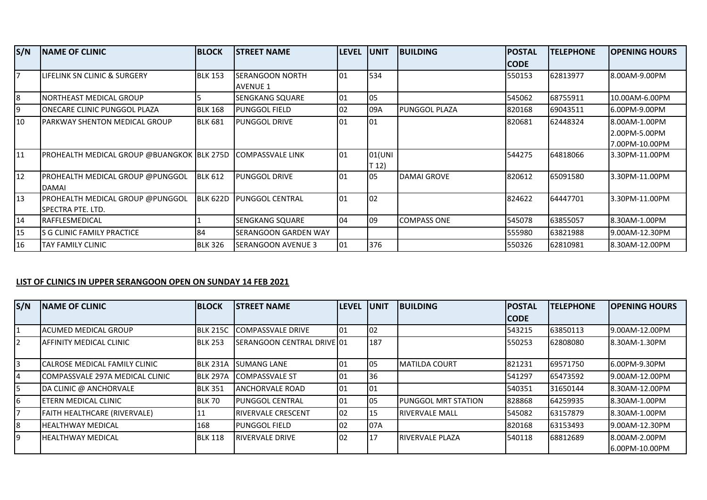| S/N            | <b>INAME OF CLINIC</b>                                             | <b>BLOCK</b>   | <b>ISTREET NAME</b>         | <b>LEVEL</b> | lunit  | <b>BUILDING</b>    | <b>POSTAL</b> | <b>TELEPHONE</b> | <b>OPENING HOURS</b> |
|----------------|--------------------------------------------------------------------|----------------|-----------------------------|--------------|--------|--------------------|---------------|------------------|----------------------|
|                |                                                                    |                |                             |              |        |                    | CODE          |                  |                      |
| $\overline{7}$ | <b>ILIFELINK SN CLINIC &amp; SURGERY</b>                           | <b>BLK 153</b> | <b>SERANGOON NORTH</b>      | 101          | 534    |                    | 550153        | 62813977         | 8.00AM-9.00PM        |
|                |                                                                    |                | <b>AVENUE 1</b>             |              |        |                    |               |                  |                      |
| 8              | <b>NORTHEAST MEDICAL GROUP</b>                                     |                | SENGKANG SQUARE             | 01           | 05     |                    | 545062        | 68755911         | 10.00AM-6.00PM       |
| 19             | <b>IONECARE CLINIC PUNGGOL PLAZA</b>                               | <b>BLK 168</b> | <b>PUNGGOL FIELD</b>        | $ 02\rangle$ | 09A    | PUNGGOL PLAZA      | 820168        | 69043511         | 6.00PM-9.00PM        |
| 10             | <b>IPARKWAY SHENTON MEDICAL GROUP</b>                              | <b>BLK 681</b> | <b>PUNGGOL DRIVE</b>        | 101          | 01     |                    | 820681        | 62448324         | 8.00AM-1.00PM        |
|                |                                                                    |                |                             |              |        |                    |               |                  | 2.00PM-5.00PM        |
|                |                                                                    |                |                             |              |        |                    |               |                  | 7.00PM-10.00PM       |
| 11             | <b>PROHEALTH MEDICAL GROUP @BUANGKOK BLK 275D COMPASSVALE LINK</b> |                |                             | 101          | 01(UNI |                    | 544275        | 64818066         | 3.30PM-11.00PM       |
|                |                                                                    |                |                             |              | T 12)  |                    |               |                  |                      |
| 12             | <b>PROHEALTH MEDICAL GROUP @PUNGGOL</b>                            | <b>BLK 612</b> | <b>PUNGGOL DRIVE</b>        | 101          | 05     | <b>DAMAI GROVE</b> | 820612        | 65091580         | 3.30PM-11.00PM       |
|                | <b>DAMAI</b>                                                       |                |                             |              |        |                    |               |                  |                      |
| 13             | <b>PROHEALTH MEDICAL GROUP @PUNGGOL</b>                            | BLK 622D       | <b>IPUNGGOL CENTRAL</b>     | 101          | 02     |                    | 824622        | 64447701         | 3.30PM-11.00PM       |
|                | <b>SPECTRA PTE. LTD.</b>                                           |                |                             |              |        |                    |               |                  |                      |
| 14             | <b>IRAFFLESMEDICAL</b>                                             |                | <b>SENGKANG SQUARE</b>      | $ 04\rangle$ | 09     | <b>COMPASS ONE</b> | 545078        | 63855057         | 8.30AM-1.00PM        |
| 15             | ls G CLINIC FAMILY PRACTICE                                        | 84             | <b>SERANGOON GARDEN WAY</b> |              |        |                    | 555980        | 63821988         | 9.00AM-12.30PM       |
| 16             | <b>TAY FAMILY CLINIC</b>                                           | <b>BLK 326</b> | <b>SERANGOON AVENUE 3</b>   | 01           | 376    |                    | 550326        | 62810981         | 8.30AM-12.00PM       |

## **LIST OF CLINICS IN UPPER SERANGOON OPEN ON SUNDAY 14 FEB 2021**

| S/N        | <b>INAME OF CLINIC</b>              | <b>BLOCK</b>    | <b>STREET NAME</b>         | <b>LEVEL</b> | <b>JUNIT</b> | <b>BUILDING</b>             | <b>POSTAL</b> | <b>TELEPHONE</b> | <b>OPENING HOURS</b>             |
|------------|-------------------------------------|-----------------|----------------------------|--------------|--------------|-----------------------------|---------------|------------------|----------------------------------|
|            |                                     |                 |                            |              |              |                             | <b>CODE</b>   |                  |                                  |
|            | IACUMED MEDICAL GROUP               | <b>BLK 215C</b> | COMPASSVALE DRIVE          | 101          | 102          |                             | 543215        | 63850113         | 19.00AM-12.00PM                  |
| <u>12.</u> | <b>JAFFINITY MEDICAL CLINIC</b>     | <b>BLK 253</b>  | SERANGOON CENTRAL DRIVE 01 |              | 187          |                             | 550253        | 62808080         | 18.30AM-1.30PM                   |
| 3          | ICALROSE MEDICAL FAMILY CLINIC      | <b>BLK 231A</b> | <b>ISUMANG LANE</b>        | 101          | 105          | <b>IMATILDA COURT</b>       | 821231        | 69571750         | 16.00PM-9.30PM                   |
| 4          | ICOMPASSVALE 297A MEDICAL CLINIC    | <b>BLK 297A</b> | <b>ICOMPASSVALE ST</b>     | 101          | 36           |                             | 541297        | 65473592         | 9.00AM-12.00PM                   |
| 5          | DA CLINIC @ ANCHORVALE              | <b>BLK 351</b>  | <b>ANCHORVALE ROAD</b>     | 101          | 101          |                             | 540351        | 31650144         | 8.30AM-12.00PM                   |
| 6          | <b>IETERN MEDICAL CLINIC</b>        | BLK 70          | <b>IPUNGGOL CENTRAL</b>    | 101          | 105          | <b>IPUNGGOL MRT STATION</b> | 828868        | 64259935         | 18.30AM-1.00PM                   |
| 17         | <b>FAITH HEALTHCARE (RIVERVALE)</b> | 11              | <b>IRIVERVALE CRESCENT</b> | 02           | 15           | <b>RIVERVALE MALL</b>       | 545082        | 63157879         | 8.30AM-1.00PM                    |
| 8          | <b>HEALTHWAY MEDICAL</b>            | 168             | <b>IPUNGGOL FIELD</b>      | 102          | <b>107A</b>  |                             | 820168        | 63153493         | 19.00AM-12.30PM                  |
| Ι9         | <b>IHEALTHWAY MEDICAL</b>           | <b>BLK 118</b>  | <b>IRIVERVALE DRIVE</b>    | lo2          | 17           | <b>RIVERVALE PLAZA</b>      | 540118        | 68812689         | 18.00AM-2.00PM<br>6.00PM-10.00PM |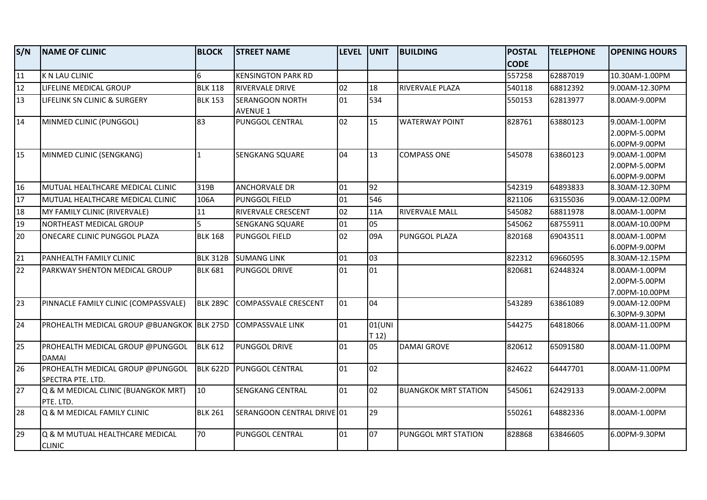| S/N | <b>NAME OF CLINIC</b>                                 | <b>BLOCK</b>    | <b>STREET NAME</b>                        | <b>LEVEL UNIT</b> |                 | <b>BUILDING</b>             | <b>POSTAL</b> | <b>TELEPHONE</b> | <b>OPENING HOURS</b>                             |
|-----|-------------------------------------------------------|-----------------|-------------------------------------------|-------------------|-----------------|-----------------------------|---------------|------------------|--------------------------------------------------|
|     |                                                       |                 |                                           |                   |                 |                             | <b>CODE</b>   |                  |                                                  |
| 11  | K N LAU CLINIC                                        | $6\overline{6}$ | <b>KENSINGTON PARK RD</b>                 |                   |                 |                             | 557258        | 62887019         | 10.30AM-1.00PM                                   |
| 12  | LIFELINE MEDICAL GROUP                                | <b>BLK 118</b>  | RIVERVALE DRIVE                           | 02                | 18              | RIVERVALE PLAZA             | 540118        | 68812392         | 9.00AM-12.30PM                                   |
| 13  | LIFELINK SN CLINIC & SURGERY                          | <b>BLK 153</b>  | <b>SERANGOON NORTH</b><br><b>AVENUE 1</b> | 01                | 534             |                             | 550153        | 62813977         | 8.00AM-9.00PM                                    |
| 14  | MINMED CLINIC (PUNGGOL)                               | 83              | PUNGGOL CENTRAL                           | 02                | 15              | <b>WATERWAY POINT</b>       | 828761        | 63880123         | 9.00AM-1.00PM<br>2.00PM-5.00PM<br>6.00PM-9.00PM  |
| 15  | MINMED CLINIC (SENGKANG)                              | $\mathbf{1}$    | <b>SENGKANG SQUARE</b>                    | 04                | 13              | <b>COMPASS ONE</b>          | 545078        | 63860123         | 9.00AM-1.00PM<br>2.00PM-5.00PM<br>6.00PM-9.00PM  |
| 16  | MUTUAL HEALTHCARE MEDICAL CLINIC                      | 319B            | <b>ANCHORVALE DR</b>                      | 01                | 92              |                             | 542319        | 64893833         | 8.30AM-12.30PM                                   |
| 17  | MUTUAL HEALTHCARE MEDICAL CLINIC                      | 106A            | PUNGGOL FIELD                             | 01                | 546             |                             | 821106        | 63155036         | 9.00AM-12.00PM                                   |
| 18  | MY FAMILY CLINIC (RIVERVALE)                          | 11              | <b>RIVERVALE CRESCENT</b>                 | 02                | 11A             | <b>RIVERVALE MALL</b>       | 545082        | 68811978         | 8.00AM-1.00PM                                    |
| 19  | NORTHEAST MEDICAL GROUP                               | 5               | <b>SENGKANG SQUARE</b>                    | 01                | 05              |                             | 545062        | 68755911         | 8.00AM-10.00PM                                   |
| 20  | ONECARE CLINIC PUNGGOL PLAZA                          | <b>BLK 168</b>  | <b>PUNGGOL FIELD</b>                      | 02                | 09A             | PUNGGOL PLAZA               | 820168        | 69043511         | 8.00AM-1.00PM<br>6.00PM-9.00PM                   |
| 21  | PANHEALTH FAMILY CLINIC                               | <b>BLK 312B</b> | <b>SUMANG LINK</b>                        | 01                | 03              |                             | 822312        | 69660595         | 8.30AM-12.15PM                                   |
| 22  | PARKWAY SHENTON MEDICAL GROUP                         | <b>BLK 681</b>  | PUNGGOL DRIVE                             | 101               | 01              |                             | 820681        | 62448324         | 8.00AM-1.00PM<br>2.00PM-5.00PM<br>7.00PM-10.00PM |
| 23  | PINNACLE FAMILY CLINIC (COMPASSVALE)                  | <b>BLK 289C</b> | COMPASSVALE CRESCENT                      | 01                | 04              |                             | 543289        | 63861089         | 9.00AM-12.00PM<br>6.30PM-9.30PM                  |
| 24  | PROHEALTH MEDICAL GROUP @BUANGKOK BLK 275D            |                 | <b>COMPASSVALE LINK</b>                   | 01                | 01(UNI<br>T 12) |                             | 544275        | 64818066         | 8.00AM-11.00PM                                   |
| 25  | PROHEALTH MEDICAL GROUP @PUNGGOL<br><b>DAMAI</b>      | <b>BLK 612</b>  | PUNGGOL DRIVE                             | 01                | 05              | <b>DAMAI GROVE</b>          | 820612        | 65091580         | 8.00AM-11.00PM                                   |
| 26  | PROHEALTH MEDICAL GROUP @PUNGGOL<br>SPECTRA PTE. LTD. | <b>BLK 622D</b> | PUNGGOL CENTRAL                           | 01                | 02              |                             | 824622        | 64447701         | 8.00AM-11.00PM                                   |
| 27  | Q & M MEDICAL CLINIC (BUANGKOK MRT)<br>PTE. LTD.      | 10              | <b>SENGKANG CENTRAL</b>                   | 01                | 02              | <b>BUANGKOK MRT STATION</b> | 545061        | 62429133         | 9.00AM-2.00PM                                    |
| 28  | Q & M MEDICAL FAMILY CLINIC                           | <b>BLK 261</b>  | SERANGOON CENTRAL DRIVE 01                |                   | 29              |                             | 550261        | 64882336         | 8.00AM-1.00PM                                    |
| 29  | Q & M MUTUAL HEALTHCARE MEDICAL<br><b>CLINIC</b>      | 70              | PUNGGOL CENTRAL                           | 01                | 07              | PUNGGOL MRT STATION         | 828868        | 63846605         | 6.00PM-9.30PM                                    |